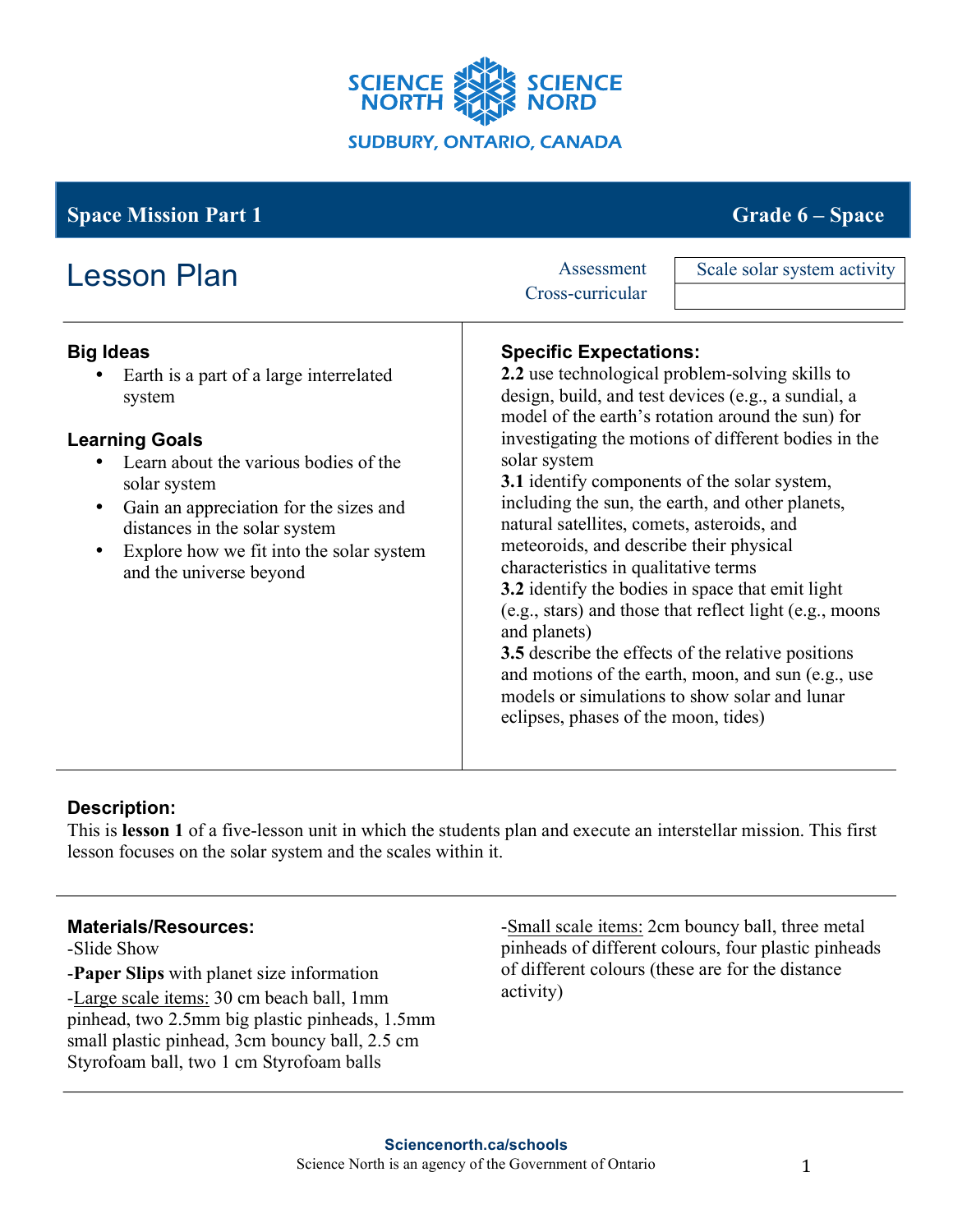

# **Space Mission Part 1** Grade **6** – **Space Grade 6** – **Space**

| <b>Lesson Plan</b>                                                                                                                                                                                                                                                                                                                  | Assessment<br>Cross-curricular | Scale solar system activity                                                                                                                                                                                                                                                                                                                                                                                                                                                                                                                                                                                                                                                                                                                                                                                   |  |
|-------------------------------------------------------------------------------------------------------------------------------------------------------------------------------------------------------------------------------------------------------------------------------------------------------------------------------------|--------------------------------|---------------------------------------------------------------------------------------------------------------------------------------------------------------------------------------------------------------------------------------------------------------------------------------------------------------------------------------------------------------------------------------------------------------------------------------------------------------------------------------------------------------------------------------------------------------------------------------------------------------------------------------------------------------------------------------------------------------------------------------------------------------------------------------------------------------|--|
| <b>Big Ideas</b><br>Earth is a part of a large interrelated<br>system<br><b>Learning Goals</b><br>Learn about the various bodies of the<br>solar system<br>Gain an appreciation for the sizes and<br>$\bullet$<br>distances in the solar system<br>Explore how we fit into the solar system<br>$\bullet$<br>and the universe beyond | solar system<br>and planets)   | <b>Specific Expectations:</b><br>2.2 use technological problem-solving skills to<br>design, build, and test devices (e.g., a sundial, a<br>model of the earth's rotation around the sun) for<br>investigating the motions of different bodies in the<br>3.1 identify components of the solar system,<br>including the sun, the earth, and other planets,<br>natural satellites, comets, asteroids, and<br>meteoroids, and describe their physical<br>characteristics in qualitative terms<br>3.2 identify the bodies in space that emit light<br>(e.g., stars) and those that reflect light (e.g., moons<br>3.5 describe the effects of the relative positions<br>and motions of the earth, moon, and sun (e.g., use<br>models or simulations to show solar and lunar<br>eclipses, phases of the moon, tides) |  |

# **Description:**

This is **lesson 1** of a five-lesson unit in which the students plan and execute an interstellar mission. This first lesson focuses on the solar system and the scales within it.

## **Materials/Resources:**

-Slide Show

-**Paper Slips** with planet size information -Large scale items: 30 cm beach ball, 1mm pinhead, two 2.5mm big plastic pinheads, 1.5mm small plastic pinhead, 3cm bouncy ball, 2.5 cm Styrofoam ball, two 1 cm Styrofoam balls

-Small scale items: 2cm bouncy ball, three metal pinheads of different colours, four plastic pinheads of different colours (these are for the distance activity)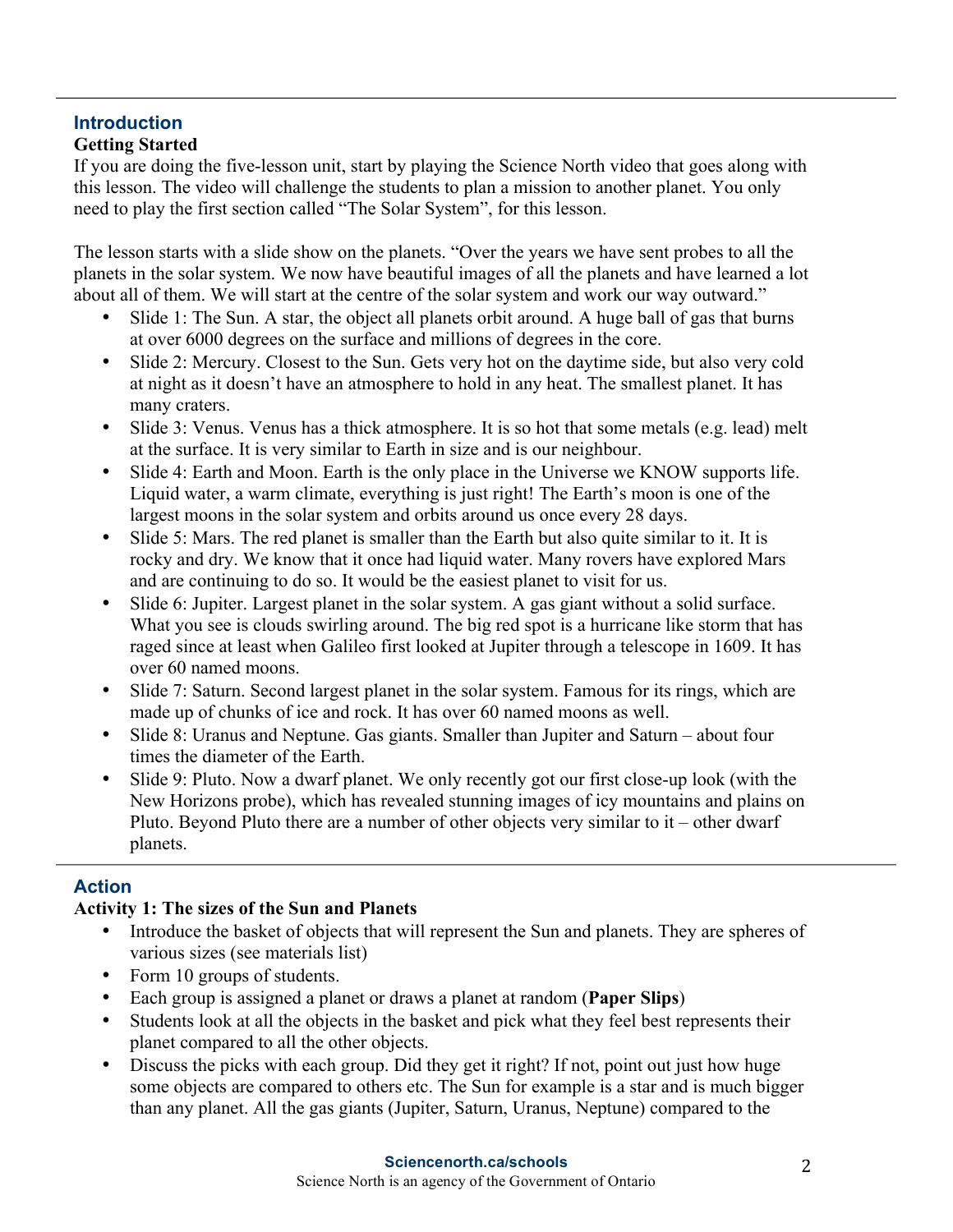## **Introduction Getting Started**

If you are doing the five-lesson unit, start by playing the Science North video that goes along with this lesson. The video will challenge the students to plan a mission to another planet. You only need to play the first section called "The Solar System", for this lesson.

The lesson starts with a slide show on the planets. "Over the years we have sent probes to all the planets in the solar system. We now have beautiful images of all the planets and have learned a lot about all of them. We will start at the centre of the solar system and work our way outward."

- Slide 1: The Sun. A star, the object all planets orbit around. A huge ball of gas that burns at over 6000 degrees on the surface and millions of degrees in the core.
- Slide 2: Mercury. Closest to the Sun. Gets very hot on the daytime side, but also very cold at night as it doesn't have an atmosphere to hold in any heat. The smallest planet. It has many craters.
- Slide 3: Venus. Venus has a thick atmosphere. It is so hot that some metals (e.g. lead) melt at the surface. It is very similar to Earth in size and is our neighbour.
- Slide 4: Earth and Moon. Earth is the only place in the Universe we KNOW supports life. Liquid water, a warm climate, everything is just right! The Earth's moon is one of the largest moons in the solar system and orbits around us once every 28 days.
- Slide 5: Mars. The red planet is smaller than the Earth but also quite similar to it. It is rocky and dry. We know that it once had liquid water. Many rovers have explored Mars and are continuing to do so. It would be the easiest planet to visit for us.
- Slide 6: Jupiter. Largest planet in the solar system. A gas giant without a solid surface. What you see is clouds swirling around. The big red spot is a hurricane like storm that has raged since at least when Galileo first looked at Jupiter through a telescope in 1609. It has over 60 named moons.
- Slide 7: Saturn. Second largest planet in the solar system. Famous for its rings, which are made up of chunks of ice and rock. It has over 60 named moons as well.
- Slide 8: Uranus and Neptune. Gas giants. Smaller than Jupiter and Saturn about four times the diameter of the Earth.
- Slide 9: Pluto. Now a dwarf planet. We only recently got our first close-up look (with the New Horizons probe), which has revealed stunning images of icy mountains and plains on Pluto. Beyond Pluto there are a number of other objects very similar to it – other dwarf planets.

# **Action**

# **Activity 1: The sizes of the Sun and Planets**

- Introduce the basket of objects that will represent the Sun and planets. They are spheres of various sizes (see materials list)
- Form 10 groups of students.
- Each group is assigned a planet or draws a planet at random (**Paper Slips**)
- Students look at all the objects in the basket and pick what they feel best represents their planet compared to all the other objects.
- Discuss the picks with each group. Did they get it right? If not, point out just how huge some objects are compared to others etc. The Sun for example is a star and is much bigger than any planet. All the gas giants (Jupiter, Saturn, Uranus, Neptune) compared to the